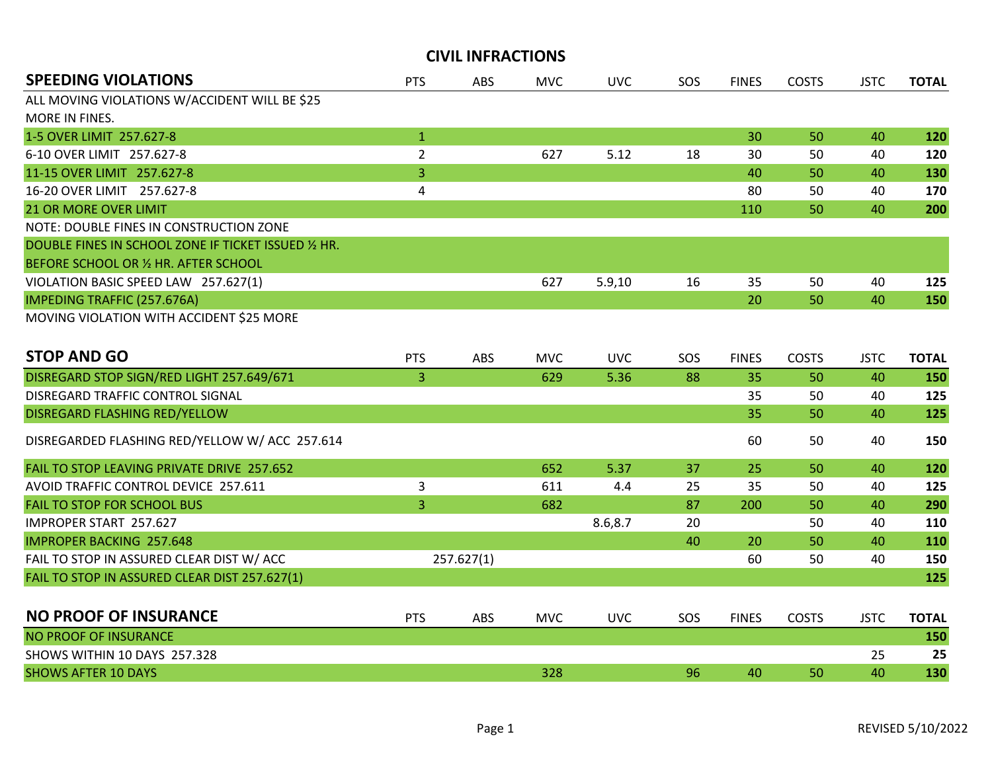| <b>SPEEDING VIOLATIONS</b>                           | <b>PTS</b>     | <b>ABS</b> | <b>MVC</b> | <b>UVC</b> | SOS | <b>FINES</b> | <b>COSTS</b> | <b>JSTC</b> | <b>TOTAL</b> |
|------------------------------------------------------|----------------|------------|------------|------------|-----|--------------|--------------|-------------|--------------|
| ALL MOVING VIOLATIONS W/ACCIDENT WILL BE \$25        |                |            |            |            |     |              |              |             |              |
| MORE IN FINES.                                       |                |            |            |            |     |              |              |             |              |
| 1-5 OVER LIMIT 257.627-8                             | $\mathbf{1}$   |            |            |            |     | 30           | 50           | 40          | 120          |
| 6-10 OVER LIMIT 257.627-8                            | $\overline{2}$ |            | 627        | 5.12       | 18  | 30           | 50           | 40          | 120          |
| 11-15 OVER LIMIT 257.627-8                           | $\overline{3}$ |            |            |            |     | 40           | 50           | 40          | 130          |
| 16-20 OVER LIMIT 257.627-8                           | 4              |            |            |            |     | 80           | 50           | 40          | 170          |
| <b>21 OR MORE OVER LIMIT</b>                         |                |            |            |            |     | 110          | 50           | 40          | 200          |
| NOTE: DOUBLE FINES IN CONSTRUCTION ZONE              |                |            |            |            |     |              |              |             |              |
| DOUBLE FINES IN SCHOOL ZONE IF TICKET ISSUED 1/2 HR. |                |            |            |            |     |              |              |             |              |
| BEFORE SCHOOL OR 1/2 HR. AFTER SCHOOL                |                |            |            |            |     |              |              |             |              |
| VIOLATION BASIC SPEED LAW 257.627(1)                 |                |            | 627        | 5.9,10     | 16  | 35           | 50           | 40          | 125          |
| <b>IMPEDING TRAFFIC (257.676A)</b>                   |                |            |            |            |     | 20           | 50           | 40          | 150          |
| MOVING VIOLATION WITH ACCIDENT \$25 MORE             |                |            |            |            |     |              |              |             |              |
| <b>STOP AND GO</b>                                   | <b>PTS</b>     | ABS        | <b>MVC</b> | <b>UVC</b> | SOS | <b>FINES</b> | <b>COSTS</b> | <b>JSTC</b> | <b>TOTAL</b> |
| DISREGARD STOP SIGN/RED LIGHT 257.649/671            | $\overline{3}$ |            | 629        | 5.36       | 88  | 35           | 50           | 40          | 150          |
| DISREGARD TRAFFIC CONTROL SIGNAL                     |                |            |            |            |     | 35           | 50           | 40          | 125          |
| DISREGARD FLASHING RED/YELLOW                        |                |            |            |            |     | 35           | 50           | 40          | 125          |
| DISREGARDED FLASHING RED/YELLOW W/ ACC 257.614       |                |            |            |            |     | 60           | 50           | 40          | 150          |
| FAIL TO STOP LEAVING PRIVATE DRIVE 257.652           |                |            | 652        | 5.37       | 37  | 25           | 50           | 40          | 120          |
| AVOID TRAFFIC CONTROL DEVICE 257.611                 | 3              |            | 611        | 4.4        | 25  | 35           | 50           | 40          | 125          |
| <b>FAIL TO STOP FOR SCHOOL BUS</b>                   | 3              |            | 682        |            | 87  | 200          | 50           | 40          | 290          |
| IMPROPER START 257.627                               |                |            |            | 8.6,8.7    | 20  |              | 50           | 40          | 110          |
| <b>IMPROPER BACKING 257.648</b>                      |                |            |            |            | 40  | 20           | 50           | 40          | 110          |
| FAIL TO STOP IN ASSURED CLEAR DIST W/ ACC            |                | 257.627(1) |            |            |     | 60           | 50           | 40          | 150          |
| FAIL TO STOP IN ASSURED CLEAR DIST 257.627(1)        |                |            |            |            |     |              |              |             | 125          |
| <b>NO PROOF OF INSURANCE</b>                         | <b>PTS</b>     | ABS        | <b>MVC</b> | <b>UVC</b> | SOS | <b>FINES</b> | <b>COSTS</b> | <b>JSTC</b> | <b>TOTAL</b> |
| <b>NO PROOF OF INSURANCE</b>                         |                |            |            |            |     |              |              |             | 150          |
| SHOWS WITHIN 10 DAYS 257.328                         |                |            |            |            |     |              |              | 25          | 25           |
| <b>SHOWS AFTER 10 DAYS</b>                           |                |            | 328        |            | 96  | 40           | 50           | 40          | 130          |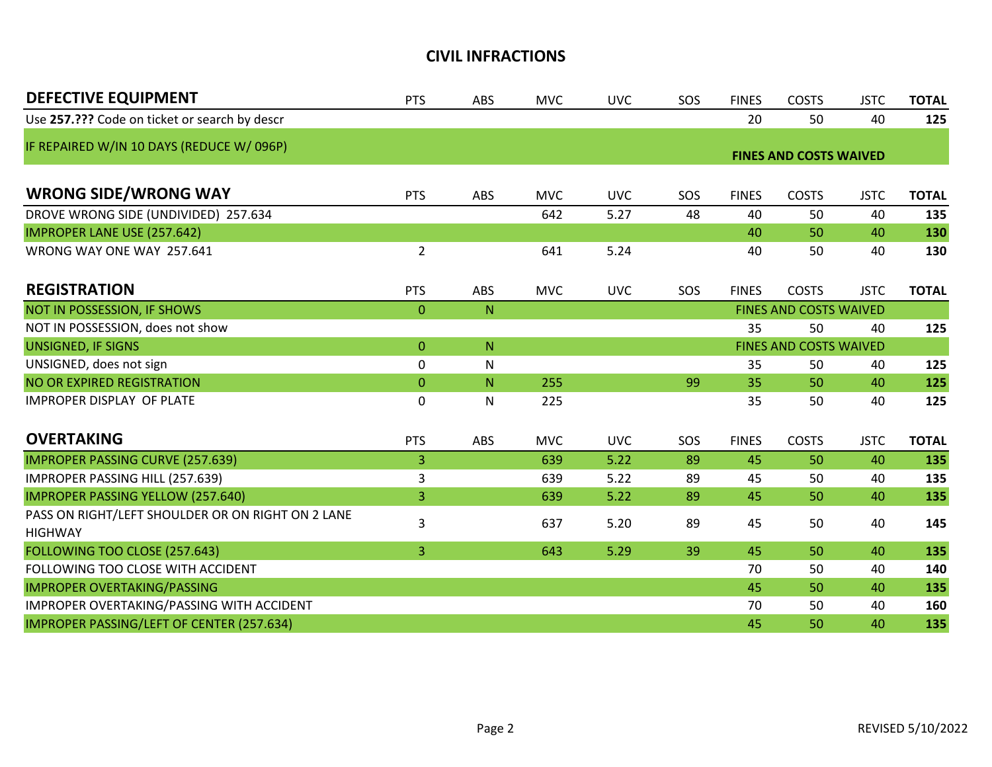| <b>DEFECTIVE EQUIPMENT</b>                        | <b>PTS</b>     | <b>ABS</b> | <b>MVC</b> | <b>UVC</b> | SOS | <b>FINES</b>           | <b>COSTS</b>                  | <b>JSTC</b> | <b>TOTAL</b> |
|---------------------------------------------------|----------------|------------|------------|------------|-----|------------------------|-------------------------------|-------------|--------------|
| Use 257.??? Code on ticket or search by descr     |                |            |            |            |     | 20                     | 50                            | 40          | 125          |
| IF REPAIRED W/IN 10 DAYS (REDUCE W/096P)          |                |            |            |            |     |                        | <b>FINES AND COSTS WAIVED</b> |             |              |
|                                                   |                |            |            |            |     |                        |                               |             |              |
| <b>WRONG SIDE/WRONG WAY</b>                       | <b>PTS</b>     | <b>ABS</b> | <b>MVC</b> | <b>UVC</b> | SOS | <b>FINES</b>           | <b>COSTS</b>                  | <b>JSTC</b> | <b>TOTAL</b> |
| DROVE WRONG SIDE (UNDIVIDED) 257.634              |                |            | 642        | 5.27       | 48  | 40                     | 50                            | 40          | 135          |
| <b>IMPROPER LANE USE (257.642)</b>                |                |            |            |            |     | 40                     | 50                            | 40          | 130          |
| WRONG WAY ONE WAY 257.641                         | $\overline{2}$ |            | 641        | 5.24       |     | 40                     | 50                            | 40          | 130          |
| <b>REGISTRATION</b>                               | <b>PTS</b>     | ABS        | <b>MVC</b> | <b>UVC</b> | SOS | <b>FINES</b>           | <b>COSTS</b>                  | <b>JSTC</b> | <b>TOTAL</b> |
| NOT IN POSSESSION, IF SHOWS                       | 0              | N          |            |            |     |                        | FINES AND COSTS WAIVED        |             |              |
| NOT IN POSSESSION, does not show                  |                |            |            |            |     | 35                     | 50                            | 40          | 125          |
| <b>UNSIGNED, IF SIGNS</b>                         | $\overline{0}$ | ${\sf N}$  |            |            |     | FINES AND COSTS WAIVED |                               |             |              |
| UNSIGNED, does not sign                           | 0              | N          |            |            |     | 35                     | 50                            | 40          | 125          |
| NO OR EXPIRED REGISTRATION                        | 0              | N          | 255        |            | 99  | 35                     | 50                            | 40          | 125          |
| <b>IMPROPER DISPLAY OF PLATE</b>                  | 0              | N          | 225        |            |     | 35                     | 50                            | 40          | 125          |
| <b>OVERTAKING</b>                                 | <b>PTS</b>     | <b>ABS</b> | <b>MVC</b> | <b>UVC</b> | SOS | <b>FINES</b>           | <b>COSTS</b>                  | <b>JSTC</b> | <b>TOTAL</b> |
| <b>IMPROPER PASSING CURVE (257.639)</b>           | $\overline{3}$ |            | 639        | 5.22       | 89  | 45                     | 50                            | 40          | 135          |
| IMPROPER PASSING HILL (257.639)                   | 3              |            | 639        | 5.22       | 89  | 45                     | 50                            | 40          | 135          |
| <b>IMPROPER PASSING YELLOW (257.640)</b>          | 3              |            | 639        | 5.22       | 89  | 45                     | 50                            | 40          | 135          |
| PASS ON RIGHT/LEFT SHOULDER OR ON RIGHT ON 2 LANE | 3              |            | 637        | 5.20       | 89  | 45                     | 50                            | 40          | 145          |
| <b>HIGHWAY</b>                                    |                |            |            |            |     |                        |                               |             |              |
| FOLLOWING TOO CLOSE (257.643)                     | 3              |            | 643        | 5.29       | 39  | 45                     | 50                            | 40          | 135          |
| FOLLOWING TOO CLOSE WITH ACCIDENT                 |                |            |            |            |     | 70                     | 50                            | 40          | 140          |
| <b>IMPROPER OVERTAKING/PASSING</b>                |                |            |            |            |     | 45                     | 50                            | 40          | 135          |
| IMPROPER OVERTAKING/PASSING WITH ACCIDENT         |                |            |            |            |     | 70                     | 50                            | 40          | 160          |
| IMPROPER PASSING/LEFT OF CENTER (257.634)         |                |            |            |            |     | 45                     | 50                            | 40          | 135          |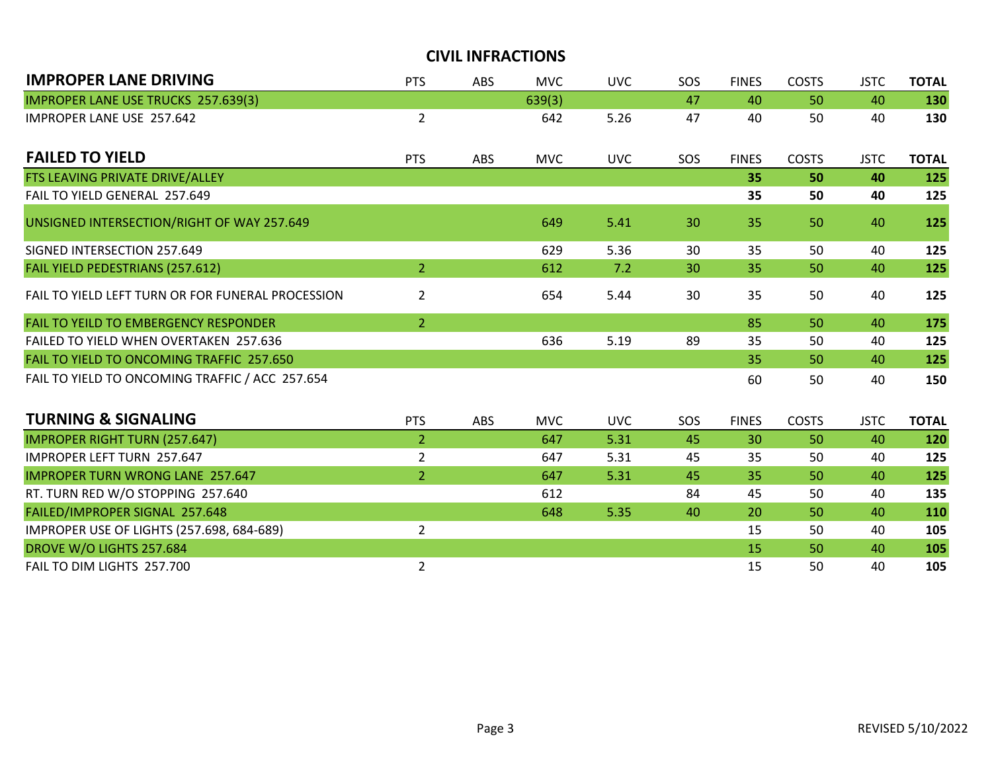| <b>IMPROPER LANE DRIVING</b>                      | <b>PTS</b>     | <b>ABS</b> | <b>MVC</b> | <b>UVC</b> | SOS | <b>FINES</b> | <b>COSTS</b> | <b>JSTC</b> | <b>TOTAL</b> |
|---------------------------------------------------|----------------|------------|------------|------------|-----|--------------|--------------|-------------|--------------|
| <b>IMPROPER LANE USE TRUCKS 257.639(3)</b>        |                |            | 639(3)     |            | 47  | 40           | 50           | 40          | 130          |
| IMPROPER LANE USE 257.642                         | $\overline{2}$ |            | 642        | 5.26       | 47  | 40           | 50           | 40          | 130          |
| <b>FAILED TO YIELD</b>                            | <b>PTS</b>     | ABS        | <b>MVC</b> | <b>UVC</b> | SOS | <b>FINES</b> | <b>COSTS</b> | <b>JSTC</b> | <b>TOTAL</b> |
| FTS LEAVING PRIVATE DRIVE/ALLEY                   |                |            |            |            |     | 35           | 50           | 40          | 125          |
| FAIL TO YIELD GENERAL 257.649                     |                |            |            |            |     | 35           | 50           | 40          | 125          |
| UNSIGNED INTERSECTION/RIGHT OF WAY 257.649        |                |            | 649        | 5.41       | 30  | 35           | 50           | 40          | 125          |
| SIGNED INTERSECTION 257.649                       |                |            | 629        | 5.36       | 30  | 35           | 50           | 40          | 125          |
| FAIL YIELD PEDESTRIANS (257.612)                  | $\overline{2}$ |            | 612        | 7.2        | 30  | 35           | 50           | 40          | 125          |
| FAIL TO YIELD LEFT TURN OR FOR FUNERAL PROCESSION | $\overline{2}$ |            | 654        | 5.44       | 30  | 35           | 50           | 40          | 125          |
| <b>FAIL TO YEILD TO EMBERGENCY RESPONDER</b>      | $\overline{2}$ |            |            |            |     | 85           | 50           | 40          | 175          |
| FAILED TO YIELD WHEN OVERTAKEN 257.636            |                |            | 636        | 5.19       | 89  | 35           | 50           | 40          | 125          |
| FAIL TO YIELD TO ONCOMING TRAFFIC 257.650         |                |            |            |            |     | 35           | 50           | 40          | 125          |
| FAIL TO YIELD TO ONCOMING TRAFFIC / ACC 257.654   |                |            |            |            |     | 60           | 50           | 40          | 150          |
| <b>TURNING &amp; SIGNALING</b>                    | <b>PTS</b>     | <b>ABS</b> | <b>MVC</b> | <b>UVC</b> | SOS | <b>FINES</b> | <b>COSTS</b> | <b>JSTC</b> | <b>TOTAL</b> |
| <b>IMPROPER RIGHT TURN (257.647)</b>              | $\overline{2}$ |            | 647        | 5.31       | 45  | 30           | 50           | 40          | 120          |
| <b>IMPROPER LEFT TURN 257.647</b>                 | $\overline{2}$ |            | 647        | 5.31       | 45  | 35           | 50           | 40          | 125          |
| <b>IMPROPER TURN WRONG LANE 257.647</b>           | $\overline{2}$ |            | 647        | 5.31       | 45  | 35           | 50           | 40          | 125          |
| RT. TURN RED W/O STOPPING 257.640                 |                |            | 612        |            | 84  | 45           | 50           | 40          | 135          |
| FAILED/IMPROPER SIGNAL 257.648                    |                |            | 648        | 5.35       | 40  | 20           | 50           | 40          | 110          |
| IMPROPER USE OF LIGHTS (257.698, 684-689)         | $\overline{2}$ |            |            |            |     | 15           | 50           | 40          | 105          |
| DROVE W/O LIGHTS 257.684                          |                |            |            |            |     | 15           | 50           | 40          | 105          |
| FAIL TO DIM LIGHTS 257.700                        | $\overline{2}$ |            |            |            |     | 15           | 50           | 40          | 105          |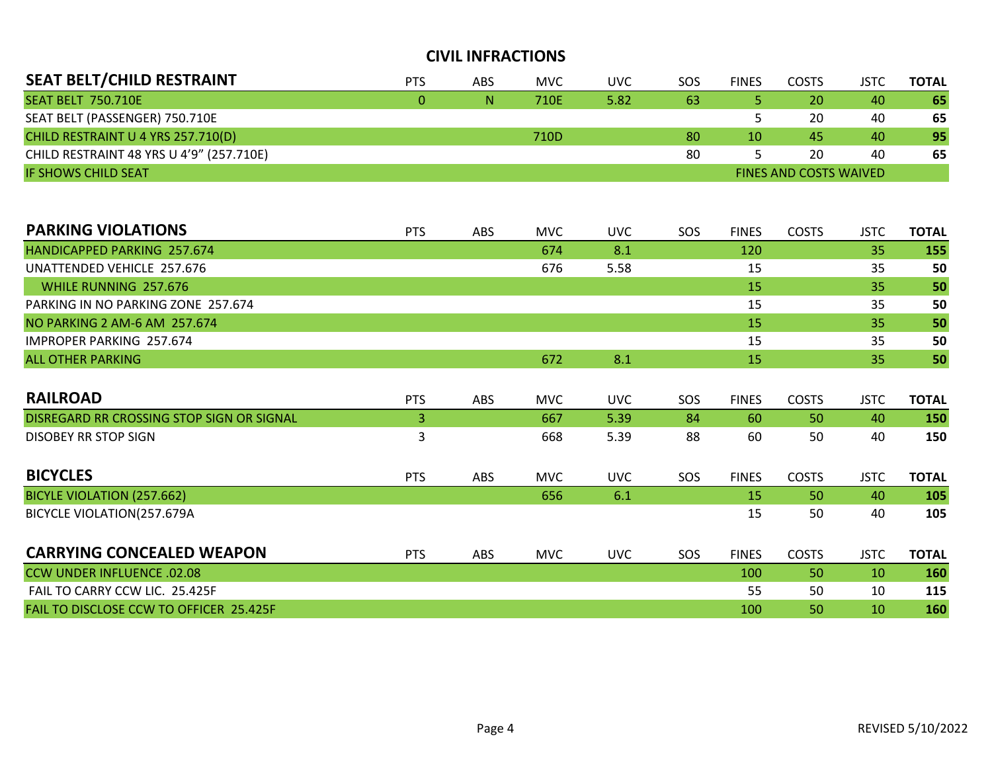| <b>SEAT BELT/CHILD RESTRAINT</b>         | <b>PTS</b> | ABS | <b>MVC</b> | UVC  | SOS                           | <b>FINES</b> | COSTS | JSTC | <b>TOTAL</b> |  |
|------------------------------------------|------------|-----|------------|------|-------------------------------|--------------|-------|------|--------------|--|
| <b>SEAT BELT 750.710E</b>                | 0.         | N   | 710E       | 5.82 | -63                           |              | 20    | 40   | 65           |  |
| SEAT BELT (PASSENGER) 750.710E           |            |     |            |      |                               |              | 20    | 40   | 65           |  |
| CHILD RESTRAINT U 4 YRS 257.710(D)       |            |     | 710D       |      | 80                            | 10           | 45    | 40   | 95           |  |
| CHILD RESTRAINT 48 YRS U 4'9" (257.710E) |            |     |            |      | 80                            |              | 20    | 40   | 65           |  |
| <b>IF SHOWS CHILD SEAT</b>               |            |     |            |      | <b>FINES AND COSTS WAIVED</b> |              |       |      |              |  |

| <b>PARKING VIOLATIONS</b>                 | <b>PTS</b> | <b>ABS</b> | <b>MVC</b> | <b>UVC</b> | SOS | <b>FINES</b> | <b>COSTS</b> | <b>JSTC</b> | <b>TOTAL</b> |
|-------------------------------------------|------------|------------|------------|------------|-----|--------------|--------------|-------------|--------------|
| HANDICAPPED PARKING 257.674               |            |            | 674        | 8.1        |     | 120          |              | 35          | 155          |
| UNATTENDED VEHICLE 257.676                |            |            | 676        | 5.58       |     | 15           |              | 35          | 50           |
| WHILE RUNNING 257.676                     |            |            |            |            |     | <b>15</b>    |              | 35          | 50           |
| PARKING IN NO PARKING ZONE 257.674        |            |            |            |            |     | 15           |              | 35          | 50           |
| NO PARKING 2 AM-6 AM 257.674              |            |            |            |            |     | 15           |              | 35          | 50           |
| <b>IMPROPER PARKING 257.674</b>           |            |            |            |            |     | 15           |              | 35          | 50           |
| <b>ALL OTHER PARKING</b>                  |            |            | 672        | 8.1        |     | 15           |              | 35          | 50           |
|                                           |            |            |            |            |     |              |              |             |              |
| <b>RAILROAD</b>                           | <b>PTS</b> | ABS        | <b>MVC</b> | <b>UVC</b> | SOS | <b>FINES</b> | <b>COSTS</b> | <b>JSTC</b> | <b>TOTAL</b> |
| DISREGARD RR CROSSING STOP SIGN OR SIGNAL | 3          |            | 667        | 5.39       | 84  | 60           | 50           | 40          | 150          |
| <b>DISOBEY RR STOP SIGN</b>               | 3          |            | 668        | 5.39       | 88  | 60           | 50           | 40          | 150          |
| <b>BICYCLES</b>                           | <b>PTS</b> | ABS        | <b>MVC</b> | <b>UVC</b> | SOS | <b>FINES</b> | <b>COSTS</b> | <b>JSTC</b> | <b>TOTAL</b> |
| BICYLE VIOLATION (257.662)                |            |            | 656        | 6.1        |     | <b>15</b>    | 50           | 40          | 105          |
| BICYCLE VIOLATION(257.679A                |            |            |            |            |     | 15           | 50           | 40          | 105          |
| <b>CARRYING CONCEALED WEAPON</b>          | <b>PTS</b> | ABS        | <b>MVC</b> | <b>UVC</b> | SOS | <b>FINES</b> | <b>COSTS</b> | <b>JSTC</b> | <b>TOTAL</b> |
| <b>CCW UNDER INFLUENCE .02.08</b>         |            |            |            |            |     | 100          | 50           | 10          | 160          |
| FAIL TO CARRY CCW LIC. 25.425F            |            |            |            |            |     | 55           | 50           | 10          | 115          |
| FAIL TO DISCLOSE CCW TO OFFICER 25.425F   |            |            |            |            |     | 100          | 50           | 10          | 160          |